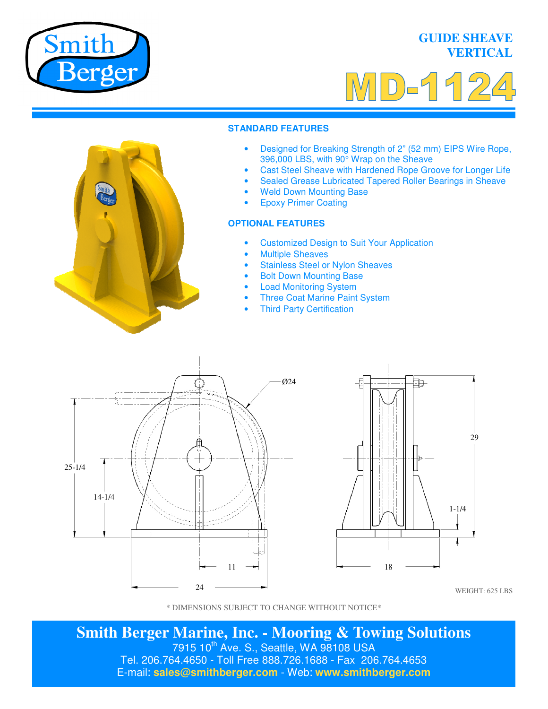

## **GUIDE SHEAVE VERTICAL**



#### **STANDARD FEATURES**

- Designed for Breaking Strength of 2" (52 mm) EIPS Wire Rope, 396,000 LBS, with 90° Wrap on the Sheave
- Cast Steel Sheave with Hardened Rope Groove for Longer Life
- Sealed Grease Lubricated Tapered Roller Bearings in Sheave
- **Weld Down Mounting Base**
- Epoxy Primer Coating

### **OPTIONAL FEATURES**

- Customized Design to Suit Your Application
- **Multiple Sheaves**
- Stainless Steel or Nylon Sheaves
- Bolt Down Mounting Base
- **Load Monitoring System**
- **Three Coat Marine Paint System**
- **Third Party Certification**





WEIGHT: 625 LBS

**Smith Berger Marine, Inc. - Mooring & Towing Solutions**  7915 10<sup>th</sup> Ave. S., Seattle, WA 98108 USA Tel. 206.764.4650 - Toll Free 888.726.1688 - Fax 206.764.4653 E-mail: **sales@smithberger.com** - Web: **www.smithberger.com**

<sup>\*</sup> DIMENSIONS SUBJECT TO CHANGE WITHOUT NOTICE\*